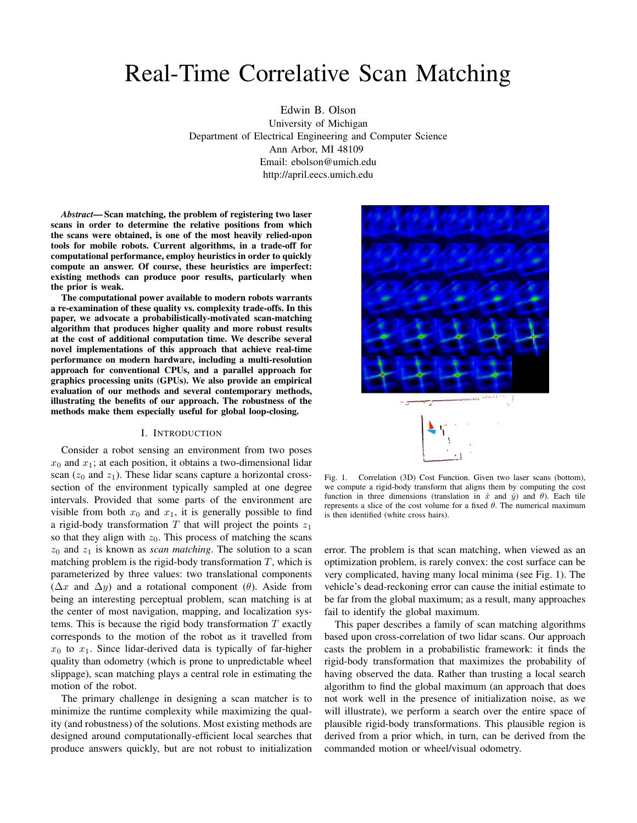# Real-Time Correlative Scan Matching

Edwin B. Olson University of Michigan Department of Electrical Engineering and Computer Science Ann Arbor, MI 48109 Email: ebolson@umich.edu http://april.eecs.umich.edu

*Abstract*— Scan matching, the problem of registering two laser scans in order to determine the relative positions from which the scans were obtained, is one of the most heavily relied-upon tools for mobile robots. Current algorithms, in a trade-off for computational performance, employ heuristics in order to quickly compute an answer. Of course, these heuristics are imperfect: existing methods can produce poor results, particularly when the prior is weak.

The computational power available to modern robots warrants a re-examination of these quality vs. complexity trade-offs. In this paper, we advocate a probabilistically-motivated scan-matching algorithm that produces higher quality and more robust results at the cost of additional computation time. We describe several novel implementations of this approach that achieve real-time performance on modern hardware, including a multi-resolution approach for conventional CPUs, and a parallel approach for graphics processing units (GPUs). We also provide an empirical evaluation of our methods and several contemporary methods, illustrating the benefits of our approach. The robustness of the methods make them especially useful for global loop-closing.

## I. INTRODUCTION

Consider a robot sensing an environment from two poses  $x_0$  and  $x_1$ ; at each position, it obtains a two-dimensional lidar scan  $(z_0$  and  $z_1$ ). These lidar scans capture a horizontal crosssection of the environment typically sampled at one degree intervals. Provided that some parts of the environment are visible from both  $x_0$  and  $x_1$ , it is generally possible to find a rigid-body transformation  $T$  that will project the points  $z_1$ so that they align with  $z_0$ . This process of matching the scans  $z_0$  and  $z_1$  is known as *scan matching*. The solution to a scan matching problem is the rigid-body transformation *T*, which is parameterized by three values: two translational components  $(\Delta x$  and  $\Delta y)$  and a rotational component ( $\theta$ ). Aside from being an interesting perceptual problem, scan matching is at the center of most navigation, mapping, and localization systems. This is because the rigid body transformation *T* exactly corresponds to the motion of the robot as it travelled from  $x_0$  to  $x_1$ . Since lidar-derived data is typically of far-higher quality than odometry (which is prone to unpredictable wheel slippage), scan matching plays a central role in estimating the motion of the robot.

The primary challenge in designing a scan matcher is to minimize the runtime complexity while maximizing the quality (and robustness) of the solutions. Most existing methods are designed around computationally-efficient local searches that produce answers quickly, but are not robust to initialization



Fig. 1. Correlation (3D) Cost Function. Given two laser scans (bottom), we compute a rigid-body transform that aligns them by computing the cost function in three dimensions (translation in  $\hat{x}$  and  $\hat{y}$ ) and  $\theta$ ). Each tile represents a slice of the cost volume for a fixed *θ*. The numerical maximum is then identified (white cross hairs).

error. The problem is that scan matching, when viewed as an optimization problem, is rarely convex: the cost surface can be very complicated, having many local minima (see Fig. 1). The vehicle's dead-reckoning error can cause the initial estimate to be far from the global maximum; as a result, many approaches fail to identify the global maximum.

This paper describes a family of scan matching algorithms based upon cross-correlation of two lidar scans. Our approach casts the problem in a probabilistic framework: it finds the rigid-body transformation that maximizes the probability of having observed the data. Rather than trusting a local search algorithm to find the global maximum (an approach that does not work well in the presence of initialization noise, as we will illustrate), we perform a search over the entire space of plausible rigid-body transformations. This plausible region is derived from a prior which, in turn, can be derived from the commanded motion or wheel/visual odometry.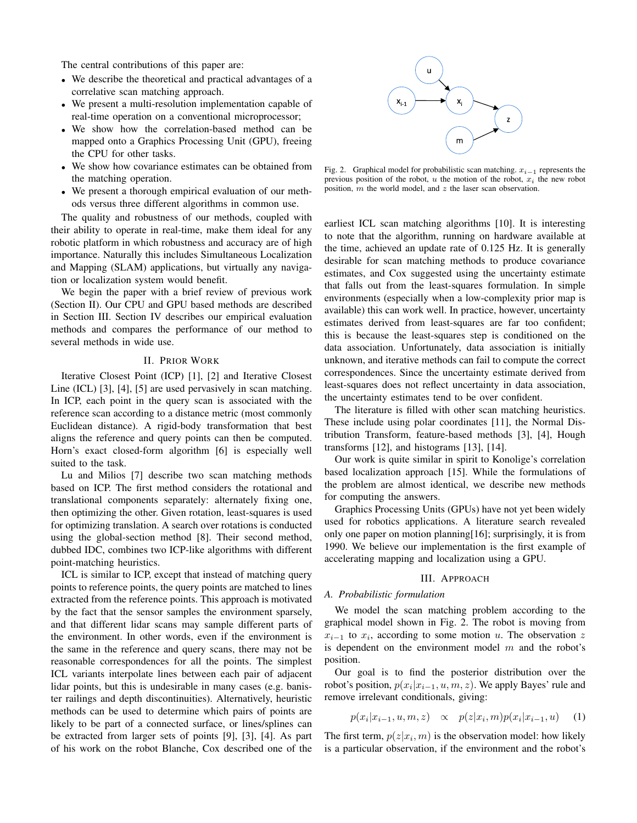The central contributions of this paper are:

- *•* We describe the theoretical and practical advantages of a correlative scan matching approach.
- *•* We present a multi-resolution implementation capable of real-time operation on a conventional microprocessor;
- We show how the correlation-based method can be mapped onto a Graphics Processing Unit (GPU), freeing the CPU for other tasks.
- *•* We show how covariance estimates can be obtained from the matching operation.
- *•* We present a thorough empirical evaluation of our methods versus three different algorithms in common use.

The quality and robustness of our methods, coupled with their ability to operate in real-time, make them ideal for any robotic platform in which robustness and accuracy are of high importance. Naturally this includes Simultaneous Localization and Mapping (SLAM) applications, but virtually any navigation or localization system would benefit.

We begin the paper with a brief review of previous work (Section II). Our CPU and GPU based methods are described in Section III. Section IV describes our empirical evaluation methods and compares the performance of our method to several methods in wide use.

# II. PRIOR WORK

Iterative Closest Point (ICP) [1], [2] and Iterative Closest Line (ICL) [3], [4], [5] are used pervasively in scan matching. In ICP, each point in the query scan is associated with the reference scan according to a distance metric (most commonly Euclidean distance). A rigid-body transformation that best aligns the reference and query points can then be computed. Horn's exact closed-form algorithm [6] is especially well suited to the task.

Lu and Milios [7] describe two scan matching methods based on ICP. The first method considers the rotational and translational components separately: alternately fixing one, then optimizing the other. Given rotation, least-squares is used for optimizing translation. A search over rotations is conducted using the global-section method [8]. Their second method, dubbed IDC, combines two ICP-like algorithms with different point-matching heuristics.

ICL is similar to ICP, except that instead of matching query points to reference points, the query points are matched to lines extracted from the reference points. This approach is motivated by the fact that the sensor samples the environment sparsely, and that different lidar scans may sample different parts of the environment. In other words, even if the environment is the same in the reference and query scans, there may not be reasonable correspondences for all the points. The simplest ICL variants interpolate lines between each pair of adjacent lidar points, but this is undesirable in many cases (e.g. banister railings and depth discontinuities). Alternatively, heuristic methods can be used to determine which pairs of points are likely to be part of a connected surface, or lines/splines can be extracted from larger sets of points [9], [3], [4]. As part of his work on the robot Blanche, Cox described one of the



Fig. 2. Graphical model for probabilistic scan matching. *xi−*<sup>1</sup> represents the previous position of the robot,  $u$  the motion of the robot,  $x_i$  the new robot position, *m* the world model, and *z* the laser scan observation.

earliest ICL scan matching algorithms [10]. It is interesting to note that the algorithm, running on hardware available at the time, achieved an update rate of 0.125 Hz. It is generally desirable for scan matching methods to produce covariance estimates, and Cox suggested using the uncertainty estimate that falls out from the least-squares formulation. In simple environments (especially when a low-complexity prior map is available) this can work well. In practice, however, uncertainty estimates derived from least-squares are far too confident; this is because the least-squares step is conditioned on the data association. Unfortunately, data association is initially unknown, and iterative methods can fail to compute the correct correspondences. Since the uncertainty estimate derived from least-squares does not reflect uncertainty in data association, the uncertainty estimates tend to be over confident.

The literature is filled with other scan matching heuristics. These include using polar coordinates [11], the Normal Distribution Transform, feature-based methods [3], [4], Hough transforms [12], and histograms [13], [14].

Our work is quite similar in spirit to Konolige's correlation based localization approach [15]. While the formulations of the problem are almost identical, we describe new methods for computing the answers.

Graphics Processing Units (GPUs) have not yet been widely used for robotics applications. A literature search revealed only one paper on motion planning[16]; surprisingly, it is from 1990. We believe our implementation is the first example of accelerating mapping and localization using a GPU.

# III. APPROACH

# *A. Probabilistic formulation*

We model the scan matching problem according to the graphical model shown in Fig. 2. The robot is moving from *x<sup>i</sup>−*<sup>1</sup> to *x<sup>i</sup>* , according to some motion *u*. The observation *z* is dependent on the environment model *m* and the robot's position.

Our goal is to find the posterior distribution over the robot's position,  $p(x_i|x_{i-1}, u, m, z)$ . We apply Bayes' rule and remove irrelevant conditionals, giving:

$$
p(x_i|x_{i-1}, u, m, z) \propto p(z|x_i, m)p(x_i|x_{i-1}, u)
$$
 (1)

The first term,  $p(z|x_i, m)$  is the observation model: how likely is a particular observation, if the environment and the robot's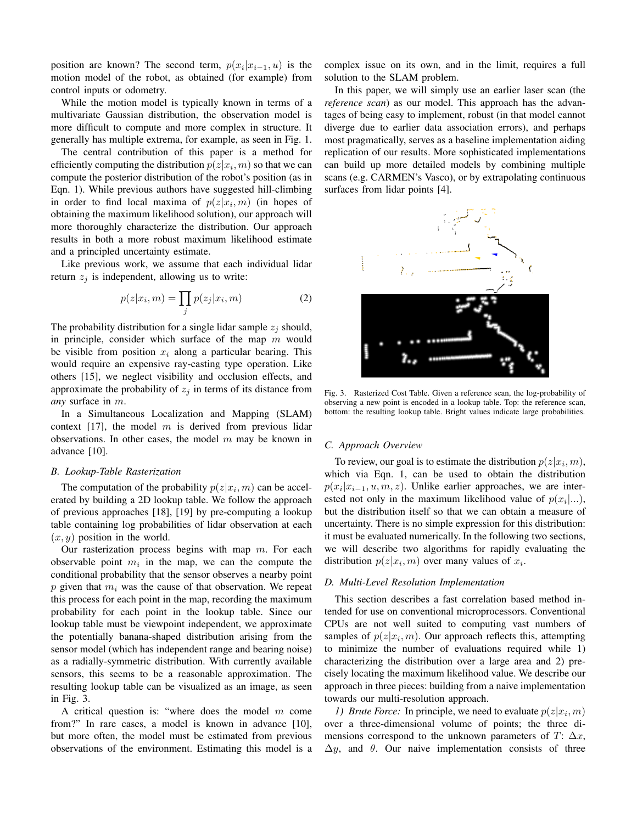position are known? The second term,  $p(x_i|x_{i-1}, u)$  is the motion model of the robot, as obtained (for example) from control inputs or odometry.

While the motion model is typically known in terms of a multivariate Gaussian distribution, the observation model is more difficult to compute and more complex in structure. It generally has multiple extrema, for example, as seen in Fig. 1.

The central contribution of this paper is a method for efficiently computing the distribution  $p(z|x_i, m)$  so that we can compute the posterior distribution of the robot's position (as in Eqn. 1). While previous authors have suggested hill-climbing in order to find local maxima of  $p(z|x_i, m)$  (in hopes of obtaining the maximum likelihood solution), our approach will more thoroughly characterize the distribution. Our approach results in both a more robust maximum likelihood estimate and a principled uncertainty estimate.

Like previous work, we assume that each individual lidar return  $z_i$  is independent, allowing us to write:

$$
p(z|x_i, m) = \prod_j p(z_j|x_i, m)
$$
 (2)

The probability distribution for a single lidar sample  $z_j$  should, in principle, consider which surface of the map *m* would be visible from position *x<sup>i</sup>* along a particular bearing. This would require an expensive ray-casting type operation. Like others [15], we neglect visibility and occlusion effects, and approximate the probability of  $z_j$  in terms of its distance from *any* surface in *m*.

In a Simultaneous Localization and Mapping (SLAM) context [17], the model *m* is derived from previous lidar observations. In other cases, the model *m* may be known in advance [10].

#### *B. Lookup-Table Rasterization*

The computation of the probability  $p(z|x_i, m)$  can be accelerated by building a 2D lookup table. We follow the approach of previous approaches [18], [19] by pre-computing a lookup table containing log probabilities of lidar observation at each  $(x, y)$  position in the world.

Our rasterization process begins with map *m*. For each observable point  $m_i$  in the map, we can the compute the conditional probability that the sensor observes a nearby point  $p$  given that  $m_i$  was the cause of that observation. We repeat this process for each point in the map, recording the maximum probability for each point in the lookup table. Since our lookup table must be viewpoint independent, we approximate the potentially banana-shaped distribution arising from the sensor model (which has independent range and bearing noise) as a radially-symmetric distribution. With currently available sensors, this seems to be a reasonable approximation. The resulting lookup table can be visualized as an image, as seen in Fig. 3.

A critical question is: "where does the model *m* come from?" In rare cases, a model is known in advance [10], but more often, the model must be estimated from previous observations of the environment. Estimating this model is a complex issue on its own, and in the limit, requires a full solution to the SLAM problem.

In this paper, we will simply use an earlier laser scan (the *reference scan*) as our model. This approach has the advantages of being easy to implement, robust (in that model cannot diverge due to earlier data association errors), and perhaps most pragmatically, serves as a baseline implementation aiding replication of our results. More sophisticated implementations can build up more detailed models by combining multiple scans (e.g. CARMEN's Vasco), or by extrapolating continuous surfaces from lidar points [4].



Fig. 3. Rasterized Cost Table. Given a reference scan, the log-probability of observing a new point is encoded in a lookup table. Top: the reference scan, bottom: the resulting lookup table. Bright values indicate large probabilities.

## *C. Approach Overview*

To review, our goal is to estimate the distribution  $p(z|x_i, m)$ , which via Eqn. 1, can be used to obtain the distribution  $p(x_i|x_{i-1}, u, m, z)$ . Unlike earlier approaches, we are interested not only in the maximum likelihood value of  $p(x_i|...),$ but the distribution itself so that we can obtain a measure of uncertainty. There is no simple expression for this distribution: it must be evaluated numerically. In the following two sections, we will describe two algorithms for rapidly evaluating the distribution  $p(z|x_i, m)$  over many values of  $x_i$ .

# *D. Multi-Level Resolution Implementation*

This section describes a fast correlation based method intended for use on conventional microprocessors. Conventional CPUs are not well suited to computing vast numbers of samples of  $p(z|x_i, m)$ . Our approach reflects this, attempting to minimize the number of evaluations required while 1) characterizing the distribution over a large area and 2) precisely locating the maximum likelihood value. We describe our approach in three pieces: building from a naive implementation towards our multi-resolution approach.

*1) Brute Force:* In principle, we need to evaluate  $p(z|x_i, m)$ over a three-dimensional volume of points; the three dimensions correspond to the unknown parameters of *T*:  $\Delta x$ , ∆*y*, and *θ*. Our naive implementation consists of three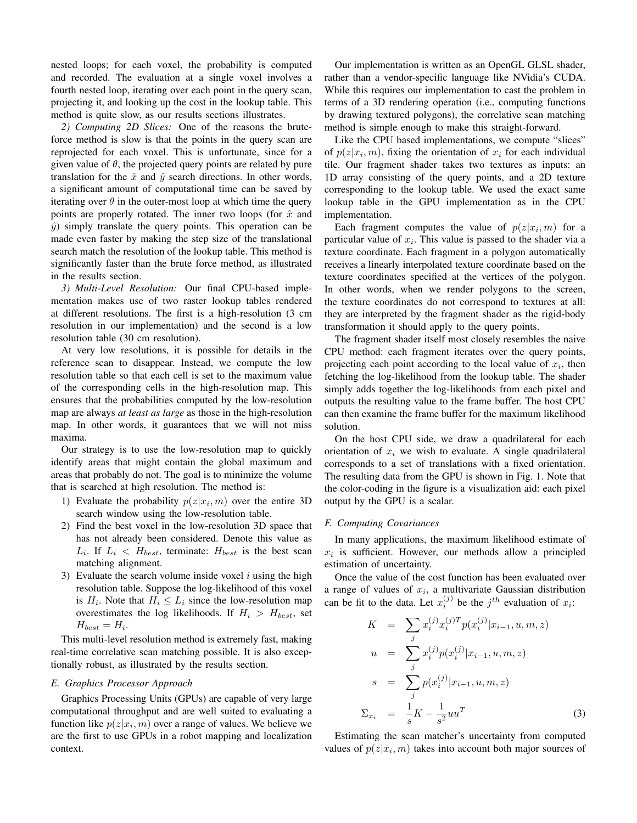nested loops; for each voxel, the probability is computed and recorded. The evaluation at a single voxel involves a fourth nested loop, iterating over each point in the query scan, projecting it, and looking up the cost in the lookup table. This method is quite slow, as our results sections illustrates.

*2) Computing 2D Slices:* One of the reasons the bruteforce method is slow is that the points in the query scan are reprojected for each voxel. This is unfortunate, since for a given value of  $\theta$ , the projected query points are related by pure translation for the  $\hat{x}$  and  $\hat{y}$  search directions. In other words, a significant amount of computational time can be saved by iterating over  $\theta$  in the outer-most loop at which time the query points are properly rotated. The inner two loops (for *x*ˆ and  $\hat{y}$  simply translate the query points. This operation can be made even faster by making the step size of the translational search match the resolution of the lookup table. This method is significantly faster than the brute force method, as illustrated in the results section.

*3) Multi-Level Resolution:* Our final CPU-based implementation makes use of two raster lookup tables rendered at different resolutions. The first is a high-resolution (3 cm resolution in our implementation) and the second is a low resolution table (30 cm resolution).

At very low resolutions, it is possible for details in the reference scan to disappear. Instead, we compute the low resolution table so that each cell is set to the maximum value of the corresponding cells in the high-resolution map. This ensures that the probabilities computed by the low-resolution map are always *at least as large* as those in the high-resolution map. In other words, it guarantees that we will not miss maxima.

Our strategy is to use the low-resolution map to quickly identify areas that might contain the global maximum and areas that probably do not. The goal is to minimize the volume that is searched at high resolution. The method is:

- 1) Evaluate the probability  $p(z|x_i, m)$  over the entire 3D search window using the low-resolution table.
- 2) Find the best voxel in the low-resolution 3D space that has not already been considered. Denote this value as  $L_i$ . If  $L_i \, \leq H_{best}$ , terminate:  $H_{best}$  is the best scan matching alignment.
- 3) Evaluate the search volume inside voxel *i* using the high resolution table. Suppose the log-likelihood of this voxel is  $H_i$ . Note that  $H_i \leq L_i$  since the low-resolution map overestimates the log likelihoods. If  $H_i > H_{best}$ , set  $H_{best} = H_i$ .

This multi-level resolution method is extremely fast, making real-time correlative scan matching possible. It is also exceptionally robust, as illustrated by the results section.

# *E. Graphics Processor Approach*

Graphics Processing Units (GPUs) are capable of very large computational throughput and are well suited to evaluating a function like  $p(z|x_i, m)$  over a range of values. We believe we are the first to use GPUs in a robot mapping and localization context.

Our implementation is written as an OpenGL GLSL shader, rather than a vendor-specific language like NVidia's CUDA. While this requires our implementation to cast the problem in terms of a 3D rendering operation (i.e., computing functions by drawing textured polygons), the correlative scan matching method is simple enough to make this straight-forward.

Like the CPU based implementations, we compute "slices" of  $p(z|x_i, m)$ , fixing the orientation of  $x_i$  for each individual tile. Our fragment shader takes two textures as inputs: an 1D array consisting of the query points, and a 2D texture corresponding to the lookup table. We used the exact same lookup table in the GPU implementation as in the CPU implementation.

Each fragment computes the value of  $p(z|x_i, m)$  for a particular value of *x<sup>i</sup>* . This value is passed to the shader via a texture coordinate. Each fragment in a polygon automatically receives a linearly interpolated texture coordinate based on the texture coordinates specified at the vertices of the polygon. In other words, when we render polygons to the screen, the texture coordinates do not correspond to textures at all: they are interpreted by the fragment shader as the rigid-body transformation it should apply to the query points.

The fragment shader itself most closely resembles the naive CPU method: each fragment iterates over the query points, projecting each point according to the local value of  $x_i$ , then fetching the log-likelihood from the lookup table. The shader simply adds together the log-likelihoods from each pixel and outputs the resulting value to the frame buffer. The host CPU can then examine the frame buffer for the maximum likelihood solution.

On the host CPU side, we draw a quadrilateral for each orientation of  $x_i$  we wish to evaluate. A single quadrilateral corresponds to a set of translations with a fixed orientation. The resulting data from the GPU is shown in Fig. 1. Note that the color-coding in the figure is a visualization aid: each pixel output by the GPU is a scalar.

#### *F. Computing Covariances*

In many applications, the maximum likelihood estimate of  $x_i$  is sufficient. However, our methods allow a principled estimation of uncertainty.

Once the value of the cost function has been evaluated over a range of values of  $x_i$ , a multivariate Gaussian distribution can be fit to the data. Let  $x_i^{(j)}$  be the  $j^{th}$  evaluation of  $x_i$ :

$$
K = \sum_{j} x_i^{(j)} x_i^{(j)T} p(x_i^{(j)} | x_{i-1}, u, m, z)
$$
  
\n
$$
u = \sum_{j} x_i^{(j)} p(x_i^{(j)} | x_{i-1}, u, m, z)
$$
  
\n
$$
s = \sum_{j} p(x_i^{(j)} | x_{i-1}, u, m, z)
$$
  
\n
$$
\Sigma_{x_i} = \frac{1}{s} K - \frac{1}{s^2} u u^T
$$
 (3)

Estimating the scan matcher's uncertainty from computed values of  $p(z|x_i, m)$  takes into account both major sources of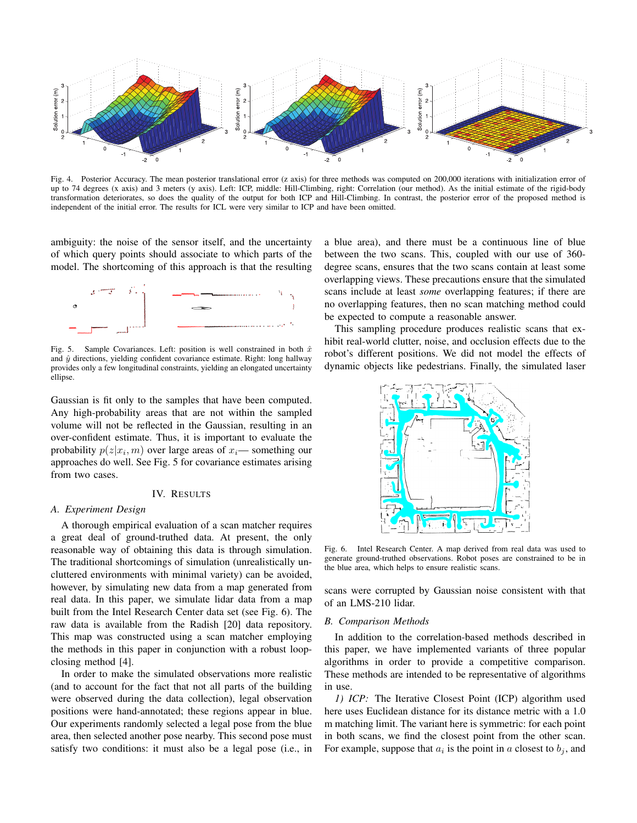

Fig. 4. Posterior Accuracy. The mean posterior translational error (z axis) for three methods was computed on 200,000 iterations with initialization error of up to 74 degrees (x axis) and 3 meters (y axis). Left: ICP, middle: Hill-Climbing, right: Correlation (our method). As the initial estimate of the rigid-body transformation deteriorates, so does the quality of the output for both ICP and Hill-Climbing. In contrast, the posterior error of the proposed method is independent of the initial error. The results for ICL were very similar to ICP and have been omitted.

ambiguity: the noise of the sensor itself, and the uncertainty of which query points should associate to which parts of the model. The shortcoming of this approach is that the resulting



Fig. 5. Sample Covariances. Left: position is well constrained in both  $\hat{x}$ and  $\hat{y}$  directions, yielding confident covariance estimate. Right: long hallway provides only a few longitudinal constraints, yielding an elongated uncertainty ellipse.

Gaussian is fit only to the samples that have been computed. Any high-probability areas that are not within the sampled volume will not be reflected in the Gaussian, resulting in an over-confident estimate. Thus, it is important to evaluate the probability  $p(z|x_i, m)$  over large areas of  $x_i$ — something our approaches do well. See Fig. 5 for covariance estimates arising from two cases.

#### IV. RESULTS

## *A. Experiment Design*

A thorough empirical evaluation of a scan matcher requires a great deal of ground-truthed data. At present, the only reasonable way of obtaining this data is through simulation. The traditional shortcomings of simulation (unrealistically uncluttered environments with minimal variety) can be avoided, however, by simulating new data from a map generated from real data. In this paper, we simulate lidar data from a map built from the Intel Research Center data set (see Fig. 6). The raw data is available from the Radish [20] data repository. This map was constructed using a scan matcher employing the methods in this paper in conjunction with a robust loopclosing method [4].

In order to make the simulated observations more realistic (and to account for the fact that not all parts of the building were observed during the data collection), legal observation positions were hand-annotated; these regions appear in blue. Our experiments randomly selected a legal pose from the blue area, then selected another pose nearby. This second pose must satisfy two conditions: it must also be a legal pose (i.e., in a blue area), and there must be a continuous line of blue between the two scans. This, coupled with our use of 360 degree scans, ensures that the two scans contain at least some overlapping views. These precautions ensure that the simulated scans include at least *some* overlapping features; if there are no overlapping features, then no scan matching method could be expected to compute a reasonable answer.

This sampling procedure produces realistic scans that exhibit real-world clutter, noise, and occlusion effects due to the robot's different positions. We did not model the effects of dynamic objects like pedestrians. Finally, the simulated laser



Fig. 6. Intel Research Center. A map derived from real data was used to generate ground-truthed observations. Robot poses are constrained to be in the blue area, which helps to ensure realistic scans.

scans were corrupted by Gaussian noise consistent with that of an LMS-210 lidar.

# *B. Comparison Methods*

In addition to the correlation-based methods described in this paper, we have implemented variants of three popular algorithms in order to provide a competitive comparison. These methods are intended to be representative of algorithms in use.

*1) ICP:* The Iterative Closest Point (ICP) algorithm used here uses Euclidean distance for its distance metric with a 1.0 m matching limit. The variant here is symmetric: for each point in both scans, we find the closest point from the other scan. For example, suppose that  $a_i$  is the point in *a* closest to  $b_j$ , and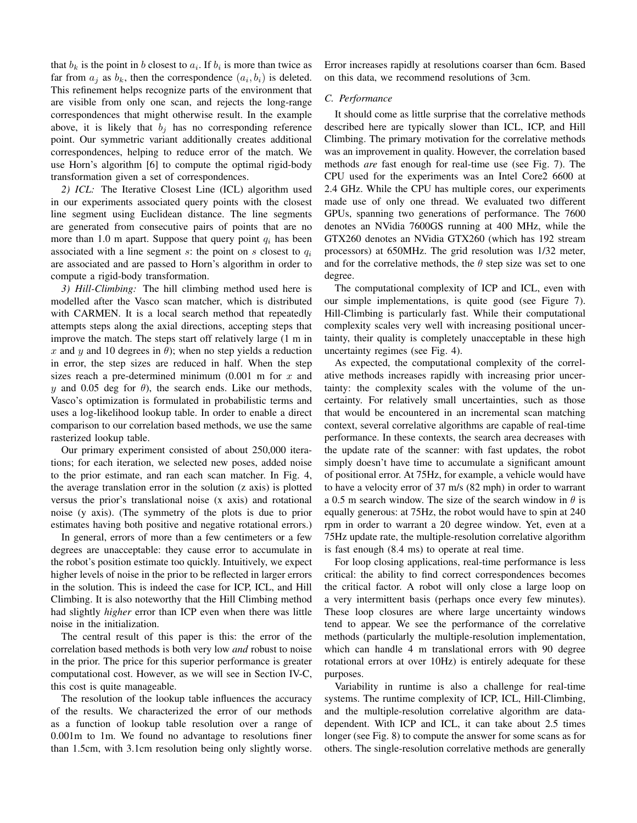that  $b_k$  is the point in *b* closest to  $a_i$ . If  $b_i$  is more than twice as far from  $a_j$  as  $b_k$ , then the correspondence  $(a_i, b_i)$  is deleted. This refinement helps recognize parts of the environment that are visible from only one scan, and rejects the long-range correspondences that might otherwise result. In the example above, it is likely that  $b_j$  has no corresponding reference point. Our symmetric variant additionally creates additional correspondences, helping to reduce error of the match. We use Horn's algorithm [6] to compute the optimal rigid-body transformation given a set of correspondences.

*2) ICL:* The Iterative Closest Line (ICL) algorithm used in our experiments associated query points with the closest line segment using Euclidean distance. The line segments are generated from consecutive pairs of points that are no more than 1.0 m apart. Suppose that query point *q<sup>i</sup>* has been associated with a line segment *s*: the point on *s* closest to *q<sup>i</sup>* are associated and are passed to Horn's algorithm in order to compute a rigid-body transformation.

*3) Hill-Climbing:* The hill climbing method used here is modelled after the Vasco scan matcher, which is distributed with CARMEN. It is a local search method that repeatedly attempts steps along the axial directions, accepting steps that improve the match. The steps start off relatively large (1 m in *x* and *y* and 10 degrees in  $\theta$ ); when no step yields a reduction in error, the step sizes are reduced in half. When the step sizes reach a pre-determined minimum (0.001 m for *x* and *y* and 0.05 deg for  $\theta$ ), the search ends. Like our methods, Vasco's optimization is formulated in probabilistic terms and uses a log-likelihood lookup table. In order to enable a direct comparison to our correlation based methods, we use the same rasterized lookup table.

Our primary experiment consisted of about 250,000 iterations; for each iteration, we selected new poses, added noise to the prior estimate, and ran each scan matcher. In Fig. 4, the average translation error in the solution (z axis) is plotted versus the prior's translational noise (x axis) and rotational noise (y axis). (The symmetry of the plots is due to prior estimates having both positive and negative rotational errors.)

In general, errors of more than a few centimeters or a few degrees are unacceptable: they cause error to accumulate in the robot's position estimate too quickly. Intuitively, we expect higher levels of noise in the prior to be reflected in larger errors in the solution. This is indeed the case for ICP, ICL, and Hill Climbing. It is also noteworthy that the Hill Climbing method had slightly *higher* error than ICP even when there was little noise in the initialization.

The central result of this paper is this: the error of the correlation based methods is both very low *and* robust to noise in the prior. The price for this superior performance is greater computational cost. However, as we will see in Section IV-C, this cost is quite manageable.

The resolution of the lookup table influences the accuracy of the results. We characterized the error of our methods as a function of lookup table resolution over a range of 0.001m to 1m. We found no advantage to resolutions finer than 1.5cm, with 3.1cm resolution being only slightly worse. Error increases rapidly at resolutions coarser than 6cm. Based on this data, we recommend resolutions of 3cm.

# *C. Performance*

It should come as little surprise that the correlative methods described here are typically slower than ICL, ICP, and Hill Climbing. The primary motivation for the correlative methods was an improvement in quality. However, the correlation based methods *are* fast enough for real-time use (see Fig. 7). The CPU used for the experiments was an Intel Core2 6600 at 2.4 GHz. While the CPU has multiple cores, our experiments made use of only one thread. We evaluated two different GPUs, spanning two generations of performance. The 7600 denotes an NVidia 7600GS running at 400 MHz, while the GTX260 denotes an NVidia GTX260 (which has 192 stream processors) at 650MHz. The grid resolution was 1/32 meter, and for the correlative methods, the  $\theta$  step size was set to one degree.

The computational complexity of ICP and ICL, even with our simple implementations, is quite good (see Figure 7). Hill-Climbing is particularly fast. While their computational complexity scales very well with increasing positional uncertainty, their quality is completely unacceptable in these high uncertainty regimes (see Fig. 4).

As expected, the computational complexity of the correlative methods increases rapidly with increasing prior uncertainty: the complexity scales with the volume of the uncertainty. For relatively small uncertainties, such as those that would be encountered in an incremental scan matching context, several correlative algorithms are capable of real-time performance. In these contexts, the search area decreases with the update rate of the scanner: with fast updates, the robot simply doesn't have time to accumulate a significant amount of positional error. At 75Hz, for example, a vehicle would have to have a velocity error of 37 m/s (82 mph) in order to warrant a 0.5 m search window. The size of the search window in *θ* is equally generous: at 75Hz, the robot would have to spin at 240 rpm in order to warrant a 20 degree window. Yet, even at a 75Hz update rate, the multiple-resolution correlative algorithm is fast enough (8.4 ms) to operate at real time.

For loop closing applications, real-time performance is less critical: the ability to find correct correspondences becomes the critical factor. A robot will only close a large loop on a very intermittent basis (perhaps once every few minutes). These loop closures are where large uncertainty windows tend to appear. We see the performance of the correlative methods (particularly the multiple-resolution implementation, which can handle 4 m translational errors with 90 degree rotational errors at over 10Hz) is entirely adequate for these purposes.

Variability in runtime is also a challenge for real-time systems. The runtime complexity of ICP, ICL, Hill-Climbing, and the multiple-resolution correlative algorithm are datadependent. With ICP and ICL, it can take about 2.5 times longer (see Fig. 8) to compute the answer for some scans as for others. The single-resolution correlative methods are generally